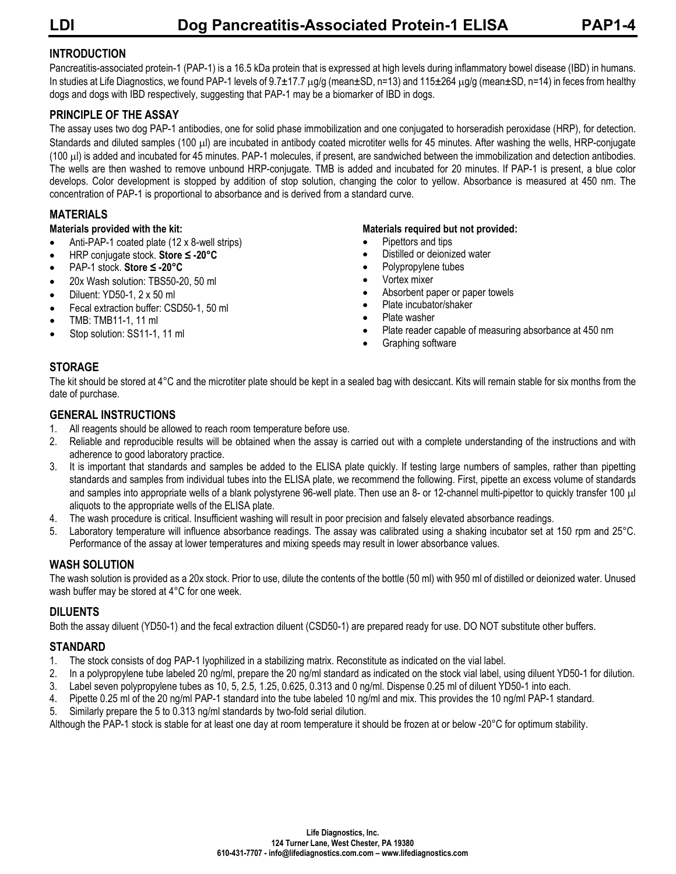# **INTRODUCTION**

Pancreatitis-associated protein-1 (PAP-1) is a 16.5 kDa protein that is expressed at high levels during inflammatory bowel disease (IBD) in humans. In studies at Life Diagnostics, we found PAP-1 levels of 9.7±17.7 ug/g (mean±SD, n=13) and 115±264 ug/g (mean±SD, n=14) in feces from healthy dogs and dogs with IBD respectively, suggesting that PAP-1 may be a biomarker of IBD in dogs.

# **PRINCIPLE OF THE ASSAY**

The assay uses two dog PAP-1 antibodies, one for solid phase immobilization and one conjugated to horseradish peroxidase (HRP), for detection. Standards and diluted samples (100 µl) are incubated in antibody coated microtiter wells for 45 minutes. After washing the wells, HRP-conjugate (100 µl) is added and incubated for 45 minutes. PAP-1 molecules, if present, are sandwiched between the immobilization and detection antibodies. The wells are then washed to remove unbound HRP-conjugate. TMB is added and incubated for 20 minutes. If PAP-1 is present, a blue color develops. Color development is stopped by addition of stop solution, changing the color to yellow. Absorbance is measured at 450 nm. The concentration of PAP-1 is proportional to absorbance and is derived from a standard curve.

# **MATERIALS**

#### **Materials provided with the kit:**

- Anti-PAP-1 coated plate (12 x 8-well strips)
- HRP conjugate stock. **Store ≤ -20°C**
- PAP-1 stock. **Store ≤ -20°C**
- 20x Wash solution: TBS50-20, 50 ml
- Diluent: YD50-1, 2 x 50 ml
- Fecal extraction buffer: CSD50-1, 50 ml
- TMB: TMB11-1, 11 ml
- Stop solution: SS11-1, 11 ml

#### **Materials required but not provided:**

- Pipettors and tips
- Distilled or deionized water
- Polypropylene tubes
- Vortex mixer
- Absorbent paper or paper towels
- Plate incubator/shaker
- Plate washer
- Plate reader capable of measuring absorbance at 450 nm
- Graphing software

# **STORAGE**

The kit should be stored at 4°C and the microtiter plate should be kept in a sealed bag with desiccant. Kits will remain stable for six months from the date of purchase.

#### **GENERAL INSTRUCTIONS**

- 1. All reagents should be allowed to reach room temperature before use.
- 2. Reliable and reproducible results will be obtained when the assay is carried out with a complete understanding of the instructions and with adherence to good laboratory practice.
- 3. It is important that standards and samples be added to the ELISA plate quickly. If testing large numbers of samples, rather than pipetting standards and samples from individual tubes into the ELISA plate, we recommend the following. First, pipette an excess volume of standards and samples into appropriate wells of a blank polystyrene 96-well plate. Then use an 8- or 12-channel multi-pipettor to quickly transfer 100 µl aliquots to the appropriate wells of the ELISA plate.
- 4. The wash procedure is critical. Insufficient washing will result in poor precision and falsely elevated absorbance readings.
- 5. Laboratory temperature will influence absorbance readings. The assay was calibrated using a shaking incubator set at 150 rpm and 25°C. Performance of the assay at lower temperatures and mixing speeds may result in lower absorbance values.

# **WASH SOLUTION**

The wash solution is provided as a 20x stock. Prior to use, dilute the contents of the bottle (50 ml) with 950 ml of distilled or deionized water. Unused wash buffer may be stored at 4°C for one week.

# **DILUENTS**

Both the assay diluent (YD50-1) and the fecal extraction diluent (CSD50-1) are prepared ready for use. DO NOT substitute other buffers.

# **STANDARD**

- 1. The stock consists of dog PAP-1 lyophilized in a stabilizing matrix. Reconstitute as indicated on the vial label.
- 2. In a polypropylene tube labeled 20 ng/ml, prepare the 20 ng/ml standard as indicated on the stock vial label, using diluent YD50-1 for dilution.
- 3. Label seven polypropylene tubes as 10, 5, 2.5, 1.25, 0.625, 0.313 and 0 ng/ml. Dispense 0.25 ml of diluent YD50-1 into each.
- 4. Pipette 0.25 ml of the 20 ng/ml PAP-1 standard into the tube labeled 10 ng/ml and mix. This provides the 10 ng/ml PAP-1 standard.
- 5. Similarly prepare the 5 to 0.313 ng/ml standards by two-fold serial dilution.

Although the PAP-1 stock is stable for at least one day at room temperature it should be frozen at or below -20°C for optimum stability.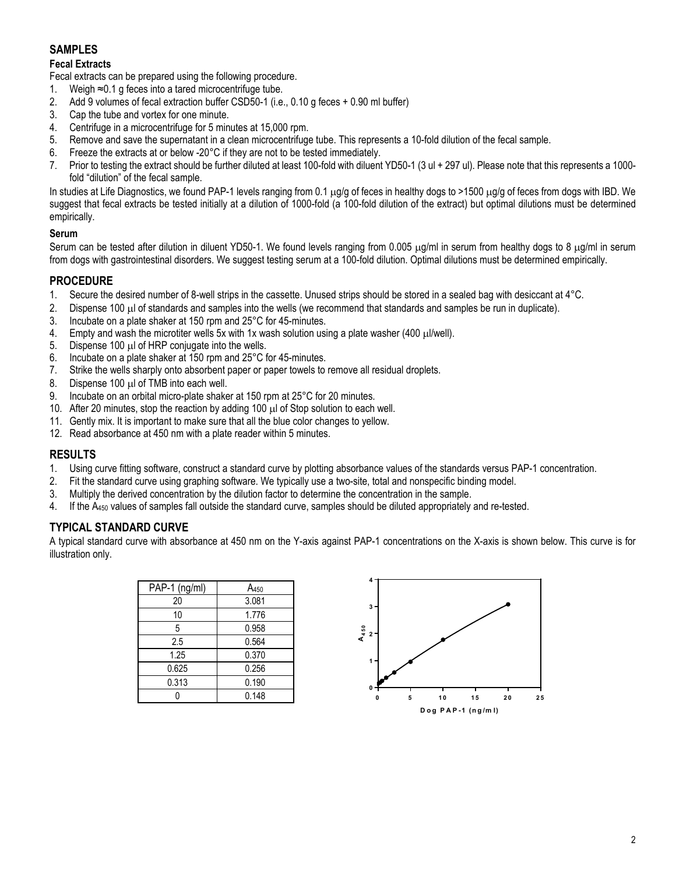# **SAMPLES**

#### **Fecal Extracts**

Fecal extracts can be prepared using the following procedure.

- 1. Weigh ≈0.1 g feces into a tared microcentrifuge tube.
- 2. Add 9 volumes of fecal extraction buffer CSD50-1 (i.e., 0.10 g feces + 0.90 ml buffer)
- 3. Cap the tube and vortex for one minute.
- 4. Centrifuge in a microcentrifuge for 5 minutes at 15,000 rpm.
- 5. Remove and save the supernatant in a clean microcentrifuge tube. This represents a 10-fold dilution of the fecal sample.
- 6. Freeze the extracts at or below -20°C if they are not to be tested immediately.
- 7. Prior to testing the extract should be further diluted at least 100-fold with diluent YD50-1 (3 ul + 297 ul). Please note that this represents a 1000 fold "dilution" of the fecal sample.

In studies at Life Diagnostics, we found PAP-1 levels ranging from 0.1  $\mu q/q$  of feces in healthy dogs to >1500  $\mu q/q$  of feces from dogs with IBD. We suggest that fecal extracts be tested initially at a dilution of 1000-fold (a 100-fold dilution of the extract) but optimal dilutions must be determined empirically.

#### **Serum**

Serum can be tested after dilution in diluent YD50-1. We found levels ranging from 0.005  $\mu q/m$  in serum from healthy dogs to 8  $\mu q/m$  in serum from dogs with gastrointestinal disorders. We suggest testing serum at a 100-fold dilution. Optimal dilutions must be determined empirically.

#### **PROCEDURE**

- 1. Secure the desired number of 8-well strips in the cassette. Unused strips should be stored in a sealed bag with desiccant at 4°C.
- 2. Dispense 100 µl of standards and samples into the wells (we recommend that standards and samples be run in duplicate).<br>3. Incubate on a plate shaker at 150 rpm and 25°C for 45-minutes.
- 3. Incubate on a plate shaker at 150 rpm and  $25^{\circ}$ C for 45-minutes.<br>4. Empty and wash the microtiter wells 5x with 1x wash solution usi
- Empty and wash the microtiter wells 5x with 1x wash solution using a plate washer (400  $\mu$ l/well).
- 5. Dispense 100 µl of HRP conjugate into the wells.
- 6. Incubate on a plate shaker at 150 rpm and  $25^{\circ}$ C for 45-minutes.<br>7. Strike the wells sharply onto absorbent paper or paper towels to
- Strike the wells sharply onto absorbent paper or paper towels to remove all residual droplets.
- 8. Dispense 100 µl of TMB into each well.
- 9. Incubate on an orbital micro-plate shaker at 150 rpm at 25°C for 20 minutes.
- 10. After 20 minutes, stop the reaction by adding 100  $\mu$ l of Stop solution to each well.
- 11. Gently mix. It is important to make sure that all the blue color changes to yellow.
- 12. Read absorbance at 450 nm with a plate reader within 5 minutes.

#### **RESULTS**

- 1. Using curve fitting software, construct a standard curve by plotting absorbance values of the standards versus PAP-1 concentration.
- 2. Fit the standard curve using graphing software. We typically use a two-site, total and nonspecific binding model.
- 3. Multiply the derived concentration by the dilution factor to determine the concentration in the sample.
- 4. If the  $A_{450}$  values of samples fall outside the standard curve, samples should be diluted appropriately and re-tested.

#### **TYPICAL STANDARD CURVE**

A typical standard curve with absorbance at 450 nm on the Y-axis against PAP-1 concentrations on the X-axis is shown below. This curve is for illustration only.

| A <sub>450</sub> |
|------------------|
| 3.081            |
| 1.776            |
| 0.958            |
| 0.564            |
| 0.370            |
| 0.256            |
| 0.190            |
| 0.148            |
|                  |